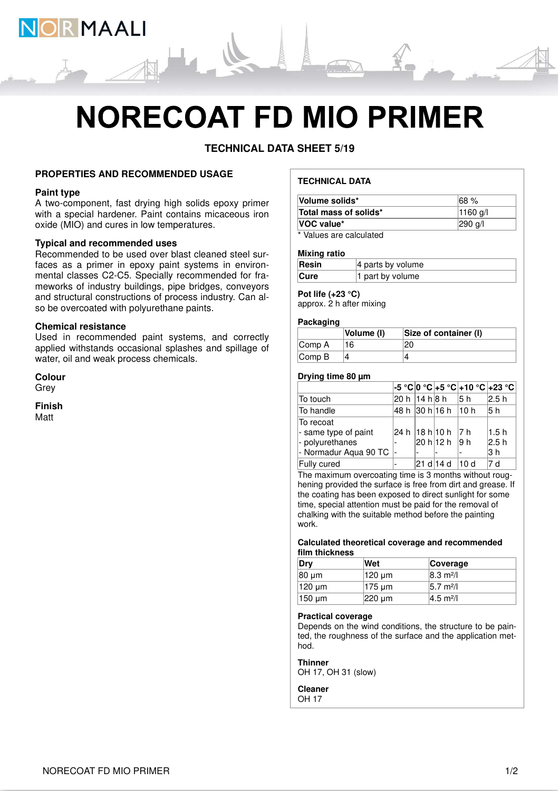

# **NORECOAT FD MIO PRIMER**

**TECHNICAL DATA SHEET 5/19**

# **PROPERTIES AND RECOMMENDED USAGE**

# **Paint type**

A two-component, fast drying high solids epoxy primer with a special hardener. Paint contains micaceous iron oxide (MIO) and cures in low temperatures.

# **Typical and recommended uses**

Recommended to be used over blast cleaned steel surfaces as a primer in epoxy paint systems in environmental classes C2-C5. Specially recommended for frameworks of industry buildings, pipe bridges, conveyors and structural constructions of process industry. Can also be overcoated with polyurethane paints.

# **Chemical resistance**

Used in recommended paint systems, and correctly applied withstands occasional splashes and spillage of water, oil and weak process chemicals.

**Colour Grev** 

**Finish** Matt

# **TECHNICAL DATA**

| Volume solids*                | $ 68\%$             |
|-------------------------------|---------------------|
| Total mass of solids*         | $ 1160 \text{ q}/ $ |
| <b>VOC</b> value*             | $ 290 \text{ q}/I$  |
| * Malerea and a classic to di |                     |

Values are calculated

#### **Mixing ratio**

| Resin       | $ 4$ parts by volume |
|-------------|----------------------|
| <b>Cure</b> | 1 part by volume     |

# **Pot life (+23 °C)**

approx. 2 h after mixing

# **Packaging**

|                             | Volume (I) | Size of container (I) |
|-----------------------------|------------|-----------------------|
| Comp A                      |            |                       |
| $\mathsf{Comp}\,\mathsf{B}$ |            |                       |

# **Drying time 80 µm**

|                       |                |                       |      | -5 °C 0 °C +5 °C +10 °C +23 °C |
|-----------------------|----------------|-----------------------|------|--------------------------------|
| To touch              | 20 h  14 h 8 h |                       | 15 h | l2.5 h                         |
| To handle             |                | 48 h  30 h 16 h  10 h |      | 5 h                            |
| To recoat             |                |                       |      |                                |
| - same type of paint  |                | 24 h 18 h 10 h 7 h    |      | 1.5h                           |
| - polyurethanes       |                | 20 h 12 h 9 h         |      | 2.5 h                          |
| - Normadur Aqua 90 TC |                |                       |      | 3 h                            |
| Fully cured           |                | 21 d 14 d             | 10d  | 7 d                            |

The maximum overcoating time is 3 months without roughening provided the surface is free from dirt and grease. If the coating has been exposed to direct sunlight for some time, special attention must be paid for the removal of chalking with the suitable method before the painting work.

#### **Calculated theoretical coverage and recommended film thickness**

| Drv    | Wet                        | Coverage                     |
|--------|----------------------------|------------------------------|
| 80 um  | 120 um                     | $ 8.3 \text{ m}^2/\text{l} $ |
| 120 µm | $ 175 \,\mathrm{\upmu m} $ | 5.7 m <sup>2</sup> /l        |
| 150 um | $ 220 \text{ µm} $         | $ 4.5 \text{ m}^2/\text{l} $ |

#### **Practical coverage**

Depends on the wind conditions, the structure to be painted, the roughness of the surface and the application method.

#### **Thinner**

OH 17, OH 31 (slow)

**Cleaner** OH 17